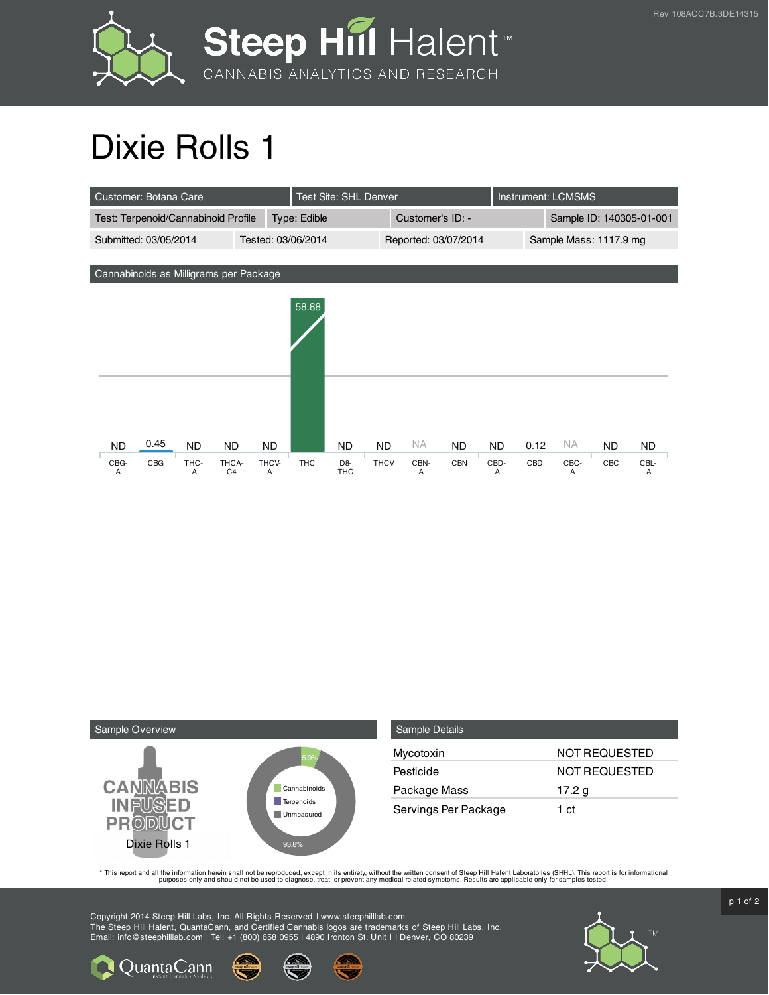

## Dixie Rolls 1

| Customer: Botana Care                       |      |           |                |              |            | Test Site: SHL Denver |                  |      |                        |                          | <b>Instrument: LCMSMS</b> |           |     |           |
|---------------------------------------------|------|-----------|----------------|--------------|------------|-----------------------|------------------|------|------------------------|--------------------------|---------------------------|-----------|-----|-----------|
| Test: Terpenoid/Cannabinoid Profile         |      |           |                | Type: Edible |            |                       | Customer's ID: - |      |                        | Sample ID: 140305-01-001 |                           |           |     |           |
| Tested: 03/06/2014<br>Submitted: 03/05/2014 |      |           |                |              |            | Reported: 03/07/2014  |                  |      | Sample Mass: 1117.9 mg |                          |                           |           |     |           |
|                                             |      |           |                |              |            |                       |                  |      |                        |                          |                           |           |     |           |
| Cannabinoids as Milligrams per Package      |      |           |                |              |            |                       |                  |      |                        |                          |                           |           |     |           |
|                                             |      |           |                |              | 58.88      |                       |                  |      |                        |                          |                           |           |     |           |
|                                             |      |           |                |              |            |                       |                  |      |                        |                          |                           |           |     |           |
|                                             |      |           |                |              |            |                       |                  |      |                        |                          |                           |           |     |           |
|                                             |      |           |                |              |            |                       |                  |      |                        |                          |                           |           |     |           |
|                                             |      |           |                |              |            |                       |                  |      |                        |                          |                           |           |     |           |
|                                             |      |           |                |              |            |                       |                  |      |                        |                          |                           |           |     |           |
|                                             |      |           |                |              |            |                       |                  |      |                        |                          |                           |           |     |           |
| <b>ND</b>                                   | 0.45 | <b>ND</b> | <b>ND</b>      | ND.          |            | <b>ND</b>             | <b>ND</b>        | NA.  | <b>ND</b>              | <b>ND</b>                | 0.12                      | <b>NA</b> | ND. | <b>ND</b> |
| CBG-                                        | CBG  | THC-      | THCA-          | THCV-        | <b>THC</b> | D <sub>8</sub>        | <b>THCV</b>      | CBN- | <b>CBN</b>             | CBD-                     | CBD                       | CBC-      | CBC | CBL-      |
| Α                                           |      | A         | C <sub>4</sub> | Α            |            | <b>THC</b>            |                  | Α    |                        | A                        |                           | A         |     | Α         |



| Sample Details       |                      |
|----------------------|----------------------|
| Mycotoxin            | <b>NOT REQUESTED</b> |
| Pesticide            | NOT REQUESTED        |
| Package Mass         | 17.2 g               |
| Servings Per Package | 1 ct                 |

This report and all the information herein shall not be reporduced, except in its entirety, without the written consent of Steep Hill Halent Laboratories (SHHL). This report is for informational all the instance, treat, or

Copyright 2014 Steep Hill Labs, Inc. All Rights Reserved | www.steephilllab.com The Steep Hill Halent, QuantaCann, and Certified Cannabis logos are trademarks of Steep Hill Labs, Inc. Email: info@steephilllab.com | Tel: +1 (800) 658 0955 | 4890 Ironton St. Unit I | Denver, CO 80239



p 1 of 2

Quanta Cann